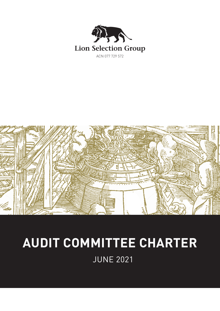



# **AUDIT COMMITTEE CHARTER**

JUNE 2021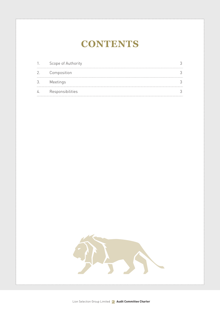# **CONTENTS**

|    | Scope of Authority |  |
|----|--------------------|--|
|    | 2. Composition     |  |
| 3. | Meetings           |  |
|    | Responsibilities   |  |

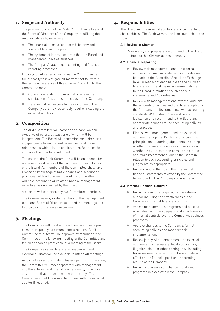# **1. Scope and Authority**

The primary function of the Audit Committee is to assist the Board of Directors of the Company in fulfilling their responsibilities by reviewing:

- The financial information that will be provided to shareholders and the public.
- The systems of internal controls that the Board and management have established.
- The Company's auditing, accounting and financial reporting processes.

In carrying out its responsibilities the Committee has full authority to investigate all matters that fall within the terms of reference of this Charter. Accordingly, the Committee may:

- Obtain independent professional advice in the satisfaction of its duties at the cost of the Company.
- Have such direct access to the resources of the Company as it may reasonably require, including the external auditors.

# **2. Composition**

The Audit Committee will comprise at least two nonexecutive directors, at least one of whom will be independent. The Board will determine each director's independence having regard to any past and present relationships which, in the opinion of the Board, could influence the director's judgment.

The chair of the Audit Committee will be an independent non-executive director of the company who is not chair of the Board. All members of the Committee shall have a working knowledge of basic finance and accounting practices. At least one member of the Committee will have accounting or related financial management expertise, as determined by the Board.

A quorum will comprise any two Committee members.

The Committee may invite members of the management team and Board of Directors to attend the meetings and to provide information as necessary.

## **3. Meetings**

The Committee will meet not less than two times a year or more frequently as circumstances require. Audit Committee minutes will be approved by member of the Committee at the following meeting of the Committee and tabled as soon as practicable at a meeting of the Board.

The Company's senior financial management and external auditors will be available to attend all meetings.

As part of its responsibility to foster open communication, the Committee will meet separately with management and the external auditors, at least annually, to discuss any matters that are best dealt with privately. The Committee should be available to meet with the external auditor if required.

### **4. Responsibilities**

The Board and the external auditors are accountable to shareholders. The Audit Committee is accountable to the Board.

#### **4.1 Review of Charter**

Review and, if appropriate, recommend to the Board updates to this Charter at least annually.

#### **4.2 Financial Reporting**

- Review with management and the external auditors the financial statements and releases to be made to the Australian Securities Exchange (ASX) in respect of each half year and full year financial result and make recommendations to the Board in relation to such financial statements and ASX releases.
- Review with management and external auditors the accounting policies and practices adopted by the Company and its compliance with accounting standards, ASX Listing Rules and relevant legislation and recommend to the Board any appropriate changes to the accounting policies and practices.
- Discuss with management and the external auditors management's choice of accounting principles and material judgements, including whether the are aggressive or conservative and whether they are common or minority practices and make recommendations to the Board in relation to such accounting principles and judgments as appropriate.
- Recommend to the Board that the annual financial statements reviewed by the Committee be included in the Company's annual report.

#### **4.3 Internal Financial Controls**

- Review any reports prepared by the external auditor including the effectiveness of the Company's internal financial controls.
- Assess management's programs and policies which deal with the adequacy and effectiveness of internal controls over the Company's business processes.
- Approve changes to the Company's formal accounting policies and monitor their implementation.
- Review jointly with management, the external auditors and if necessary, legal counsel, any litigation, claim or other contingency, including tax assessments, which could have a material effect on the financial position or operating results of the Company.
- Review and assess compliance monitoring programs in place within the Company.